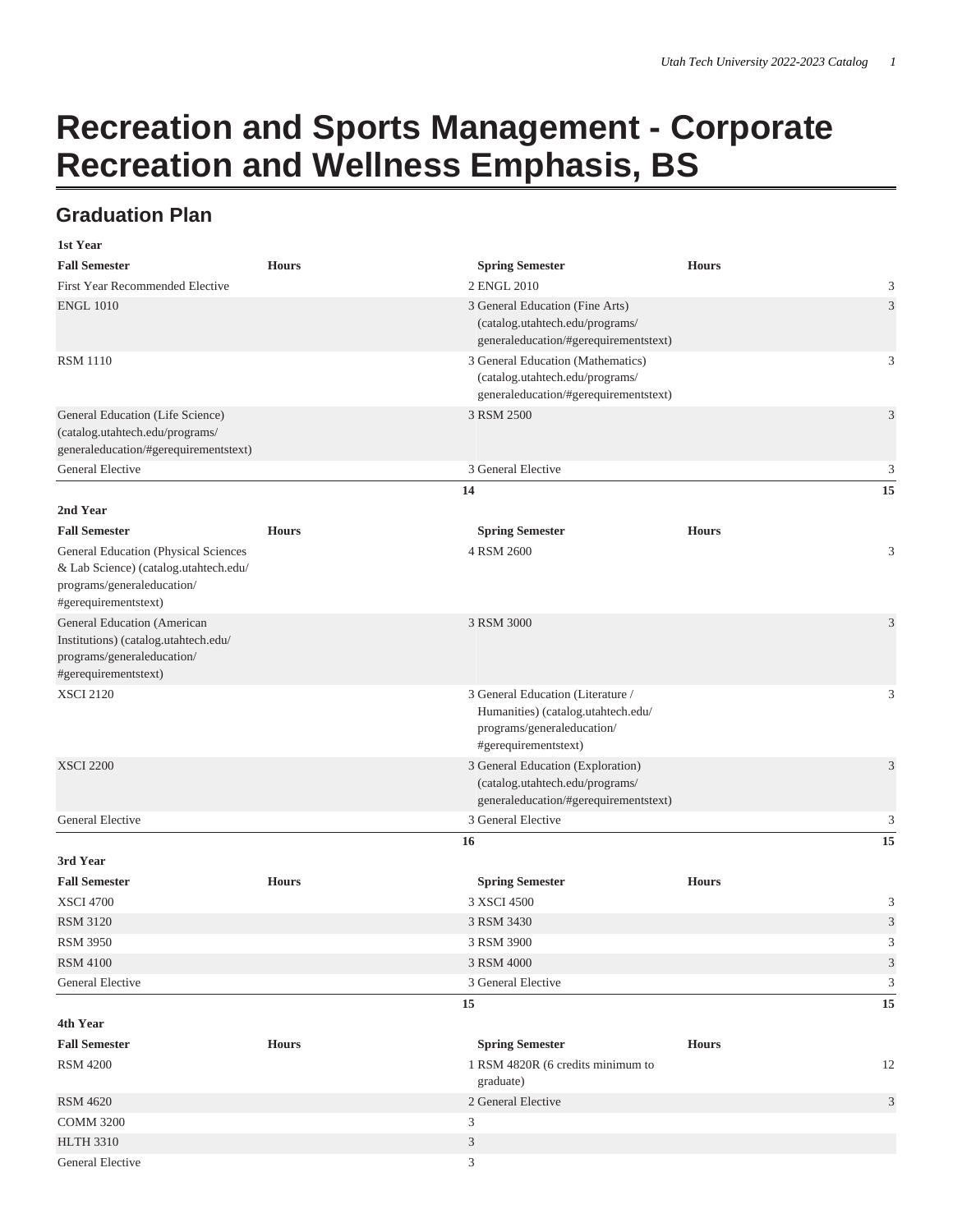## **Recreation and Sports Management - Corporate Recreation and Wellness Emphasis, BS**

## **Graduation Plan**

| 1st Year                                                                                             |              |                                                                          |              |                             |
|------------------------------------------------------------------------------------------------------|--------------|--------------------------------------------------------------------------|--------------|-----------------------------|
| <b>Fall Semester</b>                                                                                 | <b>Hours</b> | <b>Spring Semester</b>                                                   | <b>Hours</b> |                             |
| First Year Recommended Elective                                                                      |              | 2 ENGL 2010                                                              |              | 3                           |
| <b>ENGL 1010</b>                                                                                     |              | 3 General Education (Fine Arts)                                          |              | 3                           |
|                                                                                                      |              | (catalog.utahtech.edu/programs/                                          |              |                             |
|                                                                                                      |              | generaleducation/#gerequirementstext)                                    |              |                             |
| <b>RSM 1110</b>                                                                                      |              | 3 General Education (Mathematics)                                        |              | 3                           |
|                                                                                                      |              | (catalog.utahtech.edu/programs/<br>generaleducation/#gerequirementstext) |              |                             |
| General Education (Life Science)                                                                     |              | 3 RSM 2500                                                               |              | 3                           |
| (catalog.utahtech.edu/programs/                                                                      |              |                                                                          |              |                             |
| generaleducation/#gerequirementstext)                                                                |              |                                                                          |              |                             |
| General Elective                                                                                     |              | 3 General Elective                                                       |              | 3                           |
|                                                                                                      |              | 14                                                                       |              | 15                          |
| 2nd Year                                                                                             |              |                                                                          |              |                             |
| <b>Fall Semester</b>                                                                                 | <b>Hours</b> | <b>Spring Semester</b>                                                   | <b>Hours</b> |                             |
| General Education (Physical Sciences                                                                 |              | 4 RSM 2600                                                               |              | 3                           |
| & Lab Science) (catalog.utahtech.edu/                                                                |              |                                                                          |              |                             |
| $\operatorname{programs}/{\operatorname{generaleducation}}/$                                         |              |                                                                          |              |                             |
| #gerequirementstext)                                                                                 |              |                                                                          |              |                             |
| General Education (American                                                                          |              | 3 RSM 3000                                                               |              | 3                           |
| Institutions) (catalog.utahtech.edu/<br>$\operatorname{programs}/{\operatorname{generaleducation}}/$ |              |                                                                          |              |                             |
| #gerequirementstext)                                                                                 |              |                                                                          |              |                             |
| <b>XSCI 2120</b>                                                                                     |              | 3 General Education (Literature /                                        |              | 3                           |
|                                                                                                      |              | Humanities) (catalog.utahtech.edu/                                       |              |                             |
|                                                                                                      |              | programs/generaleducation/                                               |              |                             |
|                                                                                                      |              | #gerequirementstext)                                                     |              |                             |
| <b>XSCI 2200</b>                                                                                     |              | 3 General Education (Exploration)                                        |              | 3                           |
|                                                                                                      |              | (catalog.utahtech.edu/programs/                                          |              |                             |
| <b>General Elective</b>                                                                              |              | generaleducation/#gerequirementstext)<br>3 General Elective              |              |                             |
|                                                                                                      |              | 16                                                                       |              | 3<br>15                     |
| 3rd Year                                                                                             |              |                                                                          |              |                             |
| <b>Fall Semester</b>                                                                                 | <b>Hours</b> |                                                                          | <b>Hours</b> |                             |
| <b>XSCI 4700</b>                                                                                     |              | <b>Spring Semester</b><br>3 XSCI 4500                                    |              | 3                           |
| <b>RSM 3120</b>                                                                                      |              | 3 RSM 3430                                                               |              | 3                           |
| <b>RSM 3950</b>                                                                                      |              | 3 RSM 3900                                                               |              | 3                           |
| <b>RSM 4100</b>                                                                                      |              | 3 RSM 4000                                                               |              | $\ensuremath{\mathfrak{Z}}$ |
| General Elective                                                                                     |              | 3 General Elective                                                       |              | 3                           |
|                                                                                                      |              | 15                                                                       |              | 15                          |
| 4th Year                                                                                             |              |                                                                          |              |                             |
| <b>Fall Semester</b>                                                                                 | <b>Hours</b> | <b>Spring Semester</b>                                                   | <b>Hours</b> |                             |
| <b>RSM 4200</b>                                                                                      |              | 1 RSM 4820R (6 credits minimum to                                        |              | 12                          |
|                                                                                                      |              | graduate)                                                                |              |                             |
| <b>RSM 4620</b>                                                                                      |              | 2 General Elective                                                       |              | $\mathfrak{Z}$              |
| <b>COMM 3200</b>                                                                                     |              | $\mathfrak{Z}$                                                           |              |                             |
| <b>HLTH 3310</b>                                                                                     |              | $\mathfrak{Z}$                                                           |              |                             |
| General Elective                                                                                     |              | $\mathfrak{Z}$                                                           |              |                             |